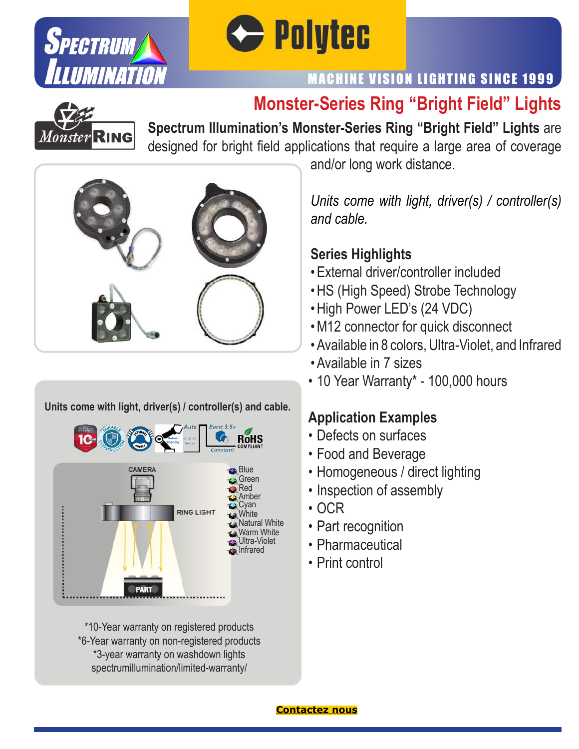



# MACHINE VISION LIGHTING SINCE 1999

# **Monster-Series Ring "Bright Field" Lights**



**Spectrum Illumination's Monster-Series Ring "Bright Field" Lights** are designed for bright field applications that require a large area of coverage



#### **Units come with light, driver(s) / controller(s) and cable.**



\*10-Year warranty on registered products \*6-Year warranty on non-registered products \*3-year warranty on washdown lights spectrumillumination/limited-warranty/

and/or long work distance.

*Units come with light, driver(s) / controller(s) and cable.*

#### **Series Highlights**

- External driver/controller included
- HS (High Speed) Strobe Technology
- High Power LED's (24 VDC)
- M12 connector for quick disconnect
- Available in 8 colors, Ultra-Violet, and Infrared
- Available in 7 sizes
- 10 Year Warranty\* 100,000 hours

#### **Application Examples**

- Defects on surfaces
- Food and Beverage
- Homogeneous / direct lighting
- Inspection of assembly
- OCR
- Part recognition
- Pharmaceutical
- Print control

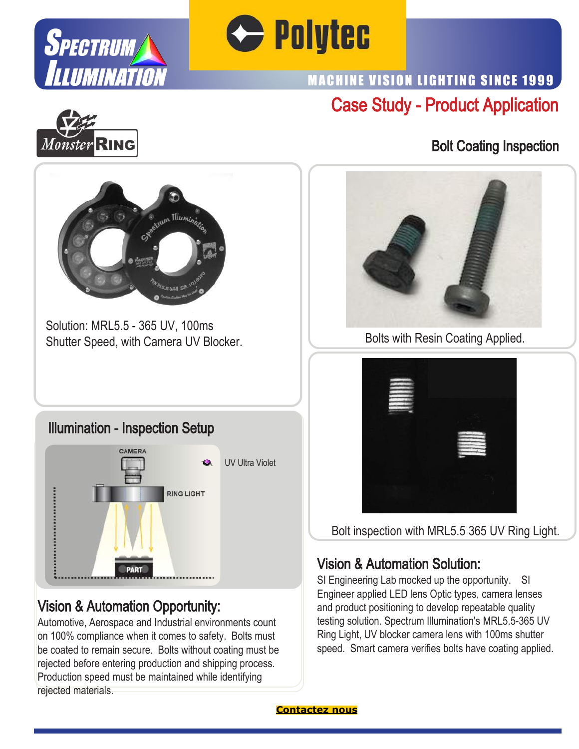



# Case Study - Product Application MACHINE VISION LIGHTING SINCE 1999



### Bolt Coating Inspection



Solution: MRL5.5 - 365 UV, 100ms Shutter Speed, with Camera UV Blocker.

#### Illumination - Inspection Setup



# Vision & Automation Opportunity:

Automotive, Aerospace and Industrial environments count on 100% compliance when it comes to safety. Bolts must be coated to remain secure. Bolts without coating must be rejected before entering production and shipping process. Production speed must be maintained while identifying rejected materials.



Bolts with Resin Coating Applied.



Bolt inspection with MRL5.5 365 UV Ring Light.

# Vision & Automation Solution:

SI Engineering Lab mocked up the opportunity. SI Engineer applied LED lens Optic types, camera lenses and product positioning to develop repeatable quality testing solution. Spectrum Illumination's MRL5.5-365 UV Ring Light, UV blocker camera lens with 100ms shutter speed. Smart camera verifies bolts have coating applied.

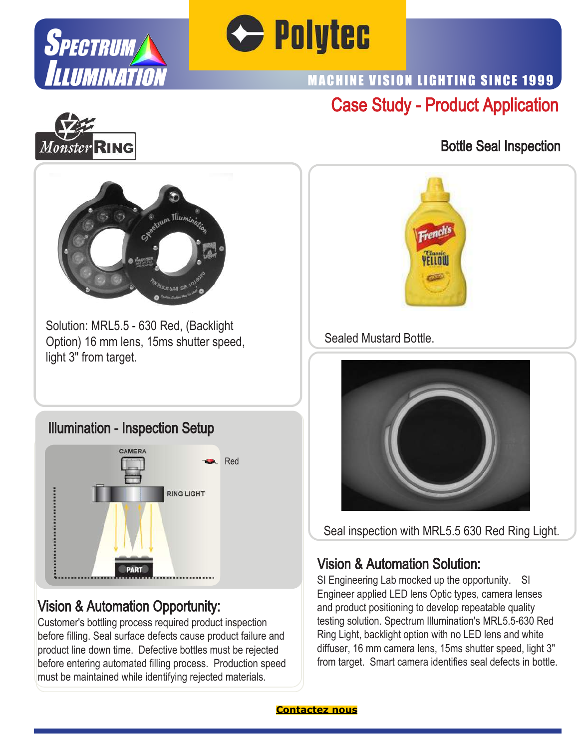



# Case Study - Product Application MACHINE VISION LIGHTING SINCE 1999



### Bottle Seal Inspection



Solution: MRL5.5 - 630 Red, (Backlight Option) 16 mm lens, 15ms shutter speed, light 3" from target.

#### Illumination - Inspection Setup



# Vision & Automation Opportunity:

Customer's bottling process required product inspection before filling. Seal surface defects cause product failure and product line down time. Defective bottles must be rejected before entering automated filling process. Production speed must be maintained while identifying rejected materials.



#### Sealed Mustard Bottle.



Seal inspection with MRL5.5 630 Red Ring Light.

### Vision & Automation Solution:

SI Engineering Lab mocked up the opportunity. SI Engineer applied LED lens Optic types, camera lenses and product positioning to develop repeatable quality testing solution. Spectrum Illumination's MRL5.5-630 Red Ring Light, backlight option with no LED lens and white diffuser, 16 mm camera lens, 15ms shutter speed, light 3" from target. Smart camera identifies seal defects in bottle.